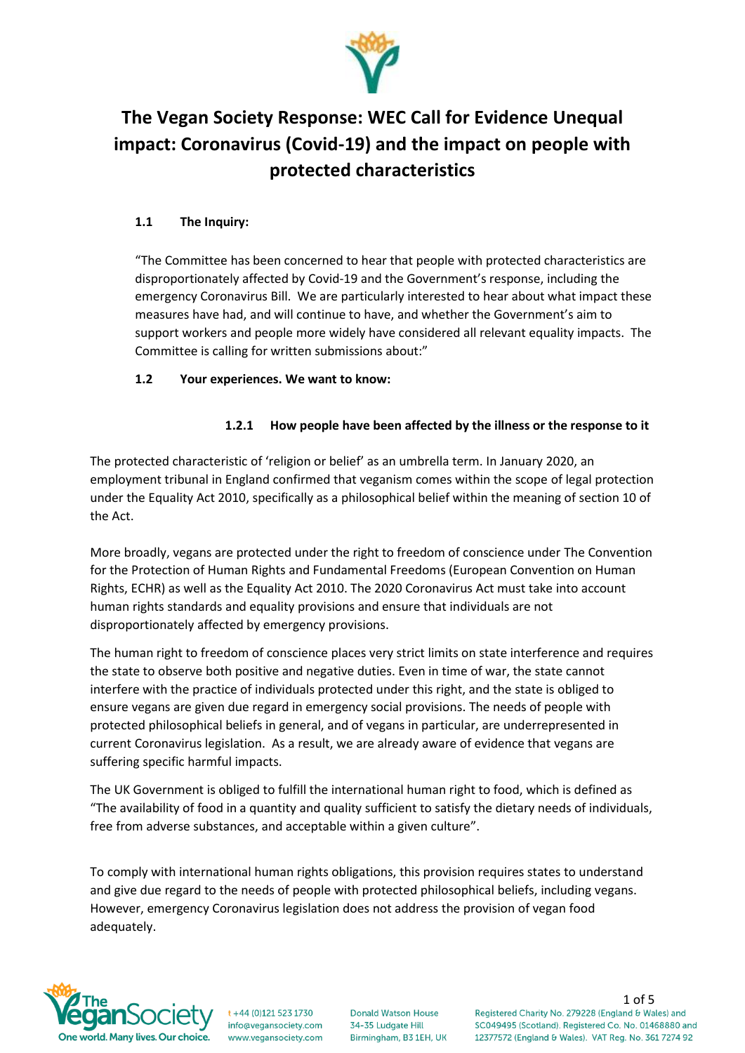

# **The Vegan Society Response: WEC Call for Evidence Unequal impact: Coronavirus (Covid-19) and the impact on people with protected characteristics**

# **1.1 The Inquiry:**

"The Committee has been concerned to hear that people with protected characteristics are disproportionately affected by Covid-19 and the Government's response, including the emergency Coronavirus Bill. We are particularly interested to hear about what impact these measures have had, and will continue to have, and whether the Government's aim to support workers and people more widely have considered all relevant equality impacts. The Committee is calling for written submissions about:"

# **1.2 Your experiences. We want to know:**

# **1.2.1 How people have been affected by the illness or the response to it**

The protected characteristic of 'religion or belief' as an umbrella term. In January 2020, an employment tribunal in England confirmed that veganism comes within the scope of legal protection under the Equality Act 2010, specifically as a philosophical belief within the meaning of section 10 of the Act.

More broadly, vegans are protected under the right to freedom of conscience under The Convention for the Protection of Human Rights and Fundamental Freedoms (European Convention on Human Rights, ECHR) as well as the Equality Act 2010. The 2020 Coronavirus Act must take into account human rights standards and equality provisions and ensure that individuals are not disproportionately affected by emergency provisions.

The human right to freedom of conscience places very strict limits on state interference and requires the state to observe both positive and negative duties. Even in time of war, the state cannot interfere with the practice of individuals protected under this right, and the state is obliged to ensure vegans are given due regard in emergency social provisions. The needs of people with protected philosophical beliefs in general, and of vegans in particular, are underrepresented in current Coronavirus legislation. As a result, we are already aware of evidence that vegans are suffering specific harmful impacts.

The UK Government is obliged to fulfill the international human right to food, which is defined as "The availability of food in a quantity and quality sufficient to satisfy the dietary needs of individuals, free from adverse substances, and acceptable within a given culture".

To comply with international human rights obligations, this provision requires states to understand and give due regard to the needs of people with protected philosophical beliefs, including vegans. However, emergency Coronavirus legislation does not address the provision of vegan food adequately.



 $t + 44 (0)121 523 1730$ info@vegansociety.com www.vegansociety.com

**Donald Watson House** 34-35 Ludgate Hill Birmingham, B3 1EH, UK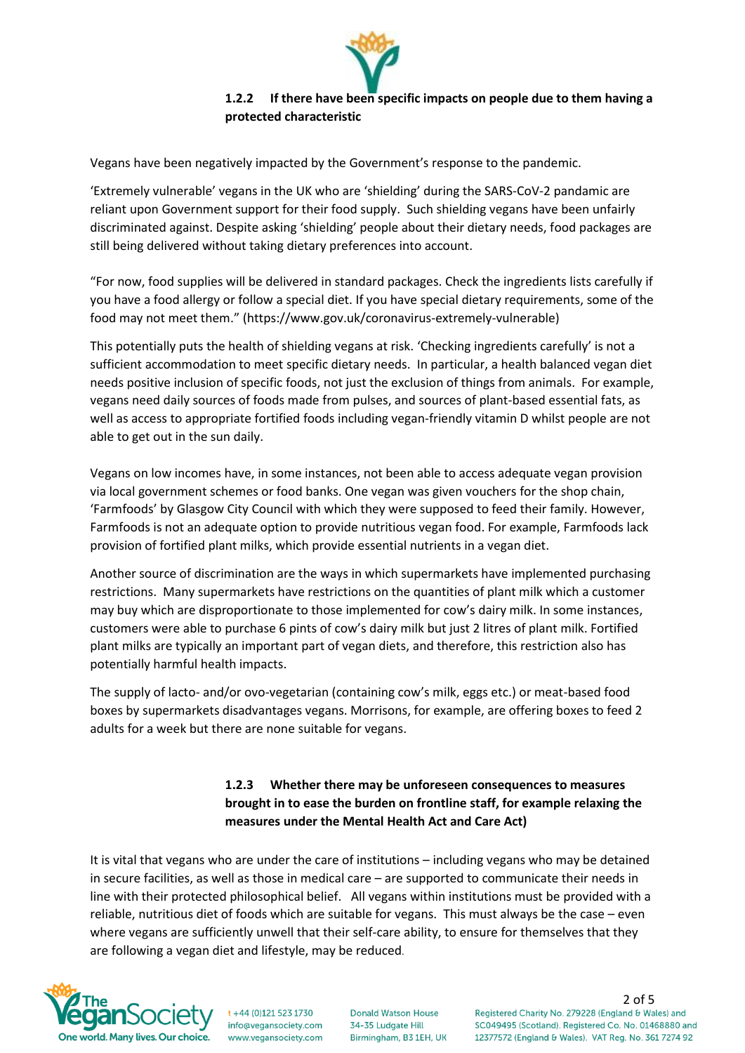

# **1.2.2 If there have been specific impacts on people due to them having a protected characteristic**

Vegans have been negatively impacted by the Government's response to the pandemic.

'Extremely vulnerable' vegans in the UK who are 'shielding' during the SARS-CoV-2 pandamic are reliant upon Government support for their food supply. Such shielding vegans have been unfairly discriminated against. Despite asking 'shielding' people about their dietary needs, food packages are still being delivered without taking dietary preferences into account.

"For now, food supplies will be delivered in standard packages. Check the ingredients lists carefully if you have a food allergy or follow a special diet. If you have special dietary requirements, some of the food may not meet them." (https://www.gov.uk/coronavirus-extremely-vulnerable)

This potentially puts the health of shielding vegans at risk. 'Checking ingredients carefully' is not a sufficient accommodation to meet specific dietary needs. In particular, a health balanced vegan diet needs positive inclusion of specific foods, not just the exclusion of things from animals. For example, vegans need daily sources of foods made from pulses, and sources of plant-based essential fats, as well as access to appropriate fortified foods including vegan-friendly vitamin D whilst people are not able to get out in the sun daily.

Vegans on low incomes have, in some instances, not been able to access adequate vegan provision via local government schemes or food banks. One vegan was given vouchers for the shop chain, 'Farmfoods' by Glasgow City Council with which they were supposed to feed their family. However, Farmfoods is not an adequate option to provide nutritious vegan food. For example, Farmfoods lack provision of fortified plant milks, which provide essential nutrients in a vegan diet.

Another source of discrimination are the ways in which supermarkets have implemented purchasing restrictions. Many supermarkets have restrictions on the quantities of plant milk which a customer may buy which are disproportionate to those implemented for cow's dairy milk. In some instances, customers were able to purchase 6 pints of cow's dairy milk but just 2 litres of plant milk. Fortified plant milks are typically an important part of vegan diets, and therefore, this restriction also has potentially harmful health impacts.

The supply of lacto- and/or ovo-vegetarian (containing cow's milk, eggs etc.) or meat-based food boxes by supermarkets disadvantages vegans. Morrisons, for example, are offering boxes to feed 2 adults for a week but there are none suitable for vegans.

# **1.2.3 Whether there may be unforeseen consequences to measures brought in to ease the burden on frontline staff, for example relaxing the measures under the Mental Health Act and Care Act)**

It is vital that vegans who are under the care of institutions – including vegans who may be detained in secure facilities, as well as those in medical care – are supported to communicate their needs in line with their protected philosophical belief. All vegans within institutions must be provided with a reliable, nutritious diet of foods which are suitable for vegans. This must always be the case – even where vegans are sufficiently unwell that their self-care ability, to ensure for themselves that they are following a vegan diet and lifestyle, may be reduced.



t +44 (0)121 523 1730 info@vegansociety.com www.vegansociety.com

**Donald Watson House** 34-35 Ludgate Hill Birmingham, B3 1EH, UK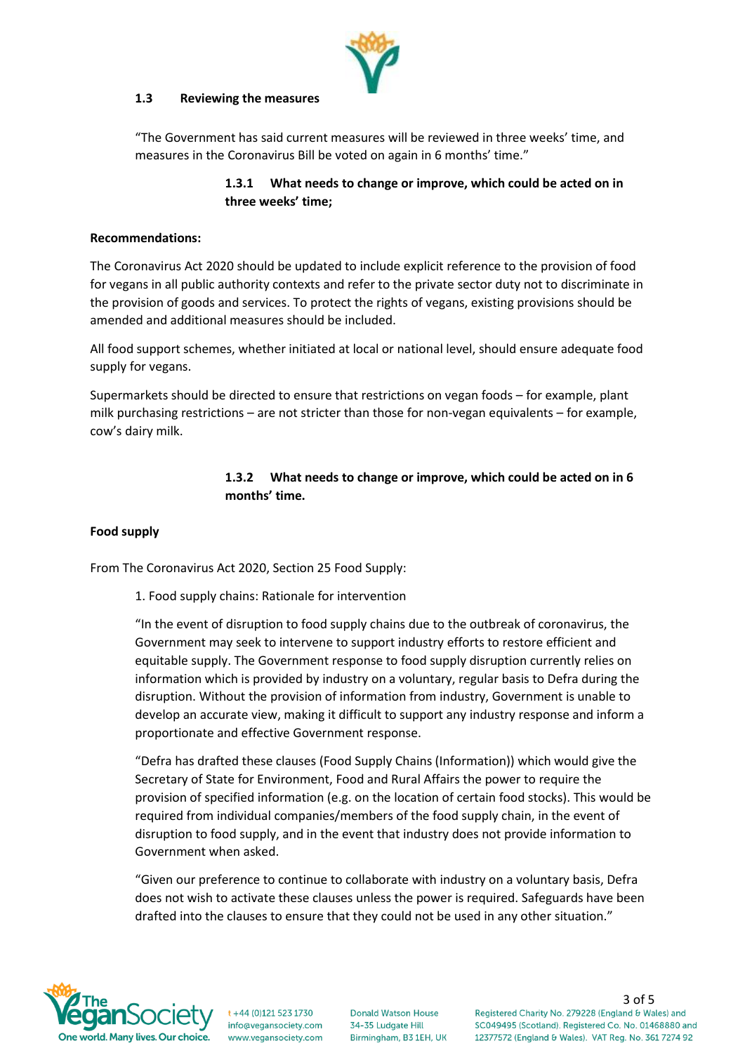

#### **1.3 Reviewing the measures**

"The Government has said current measures will be reviewed in three weeks' time, and measures in the Coronavirus Bill be voted on again in 6 months' time."

# **1.3.1 What needs to change or improve, which could be acted on in three weeks' time;**

### **Recommendations:**

The Coronavirus Act 2020 should be updated to include explicit reference to the provision of food for vegans in all public authority contexts and refer to the private sector duty not to discriminate in the provision of goods and services. To protect the rights of vegans, existing provisions should be amended and additional measures should be included.

All food support schemes, whether initiated at local or national level, should ensure adequate food supply for vegans.

Supermarkets should be directed to ensure that restrictions on vegan foods – for example, plant milk purchasing restrictions – are not stricter than those for non-vegan equivalents – for example, cow's dairy milk.

# **1.3.2 What needs to change or improve, which could be acted on in 6 months' time.**

### **Food supply**

From The Coronavirus Act 2020, Section 25 Food Supply:

1. Food supply chains: Rationale for intervention

"In the event of disruption to food supply chains due to the outbreak of coronavirus, the Government may seek to intervene to support industry efforts to restore efficient and equitable supply. The Government response to food supply disruption currently relies on information which is provided by industry on a voluntary, regular basis to Defra during the disruption. Without the provision of information from industry, Government is unable to develop an accurate view, making it difficult to support any industry response and inform a proportionate and effective Government response.

"Defra has drafted these clauses (Food Supply Chains (Information)) which would give the Secretary of State for Environment, Food and Rural Affairs the power to require the provision of specified information (e.g. on the location of certain food stocks). This would be required from individual companies/members of the food supply chain, in the event of disruption to food supply, and in the event that industry does not provide information to Government when asked.

"Given our preference to continue to collaborate with industry on a voluntary basis, Defra does not wish to activate these clauses unless the power is required. Safeguards have been drafted into the clauses to ensure that they could not be used in any other situation."



+44 (0)121 523 1730 info@vegansociety.com www.vegansociety.com

**Donald Watson House** 34-35 Ludgate Hill Birmingham, B3 1EH, UK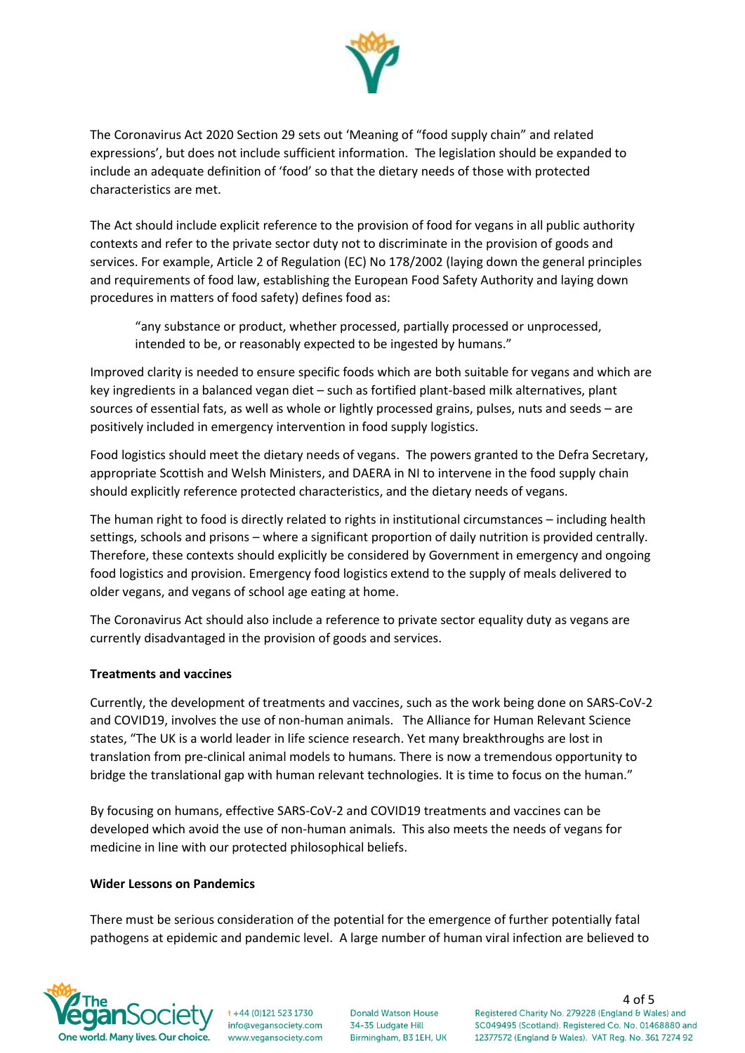

The Coronavirus Act 2020 Section 29 sets out 'Meaning of "food supply chain" and related expressions', but does not include sufficient information. The legislation should be expanded to include an adequate definition of 'food' so that the dietary needs of those with protected characteristics are met.

The Act should include explicit reference to the provision of food for vegans in all public authority contexts and refer to the private sector duty not to discriminate in the provision of goods and services. For example, Article 2 of Regulation (EC) No 178/2002 (laying down the general principles and requirements of food law, establishing the European Food Safety Authority and laying down procedures in matters of food safety) defines food as:

"any substance or product, whether processed, partially processed or unprocessed, intended to be, or reasonably expected to be ingested by humans."

Improved clarity is needed to ensure specific foods which are both suitable for vegans and which are key ingredients in a balanced vegan diet – such as fortified plant-based milk alternatives, plant sources of essential fats, as well as whole or lightly processed grains, pulses, nuts and seeds – are positively included in emergency intervention in food supply logistics.

Food logistics should meet the dietary needs of vegans. The powers granted to the Defra Secretary, appropriate Scottish and Welsh Ministers, and DAERA in NI to intervene in the food supply chain should explicitly reference protected characteristics, and the dietary needs of vegans.

The human right to food is directly related to rights in institutional circumstances – including health settings, schools and prisons – where a significant proportion of daily nutrition is provided centrally. Therefore, these contexts should explicitly be considered by Government in emergency and ongoing food logistics and provision. Emergency food logistics extend to the supply of meals delivered to older vegans, and vegans of school age eating at home.

The Coronavirus Act should also include a reference to private sector equality duty as vegans are currently disadvantaged in the provision of goods and services.

# **Treatments and vaccines**

Currently, the development of treatments and vaccines, such as the work being done on SARS-CoV-2 and COVID19, involves the use of non-human animals. The Alliance for Human Relevant Science states, "The UK is a world leader in life science research. Yet many breakthroughs are lost in translation from pre-clinical animal models to humans. There is now a tremendous opportunity to bridge the translational gap with human relevant technologies. It is time to focus on the human."

By focusing on humans, effective SARS-CoV-2 and COVID19 treatments and vaccines can be developed which avoid the use of non-human animals. This also meets the needs of vegans for medicine in line with our protected philosophical beliefs.

### **Wider Lessons on Pandemics**

There must be serious consideration of the potential for the emergence of further potentially fatal pathogens at epidemic and pandemic level. A large number of human viral infection are believed to



t +44 (0)121 523 1730 info@vegansociety.com www.vegansociety.com

**Donald Watson House** 34-35 Ludgate Hill Birmingham, B3 1EH, UK